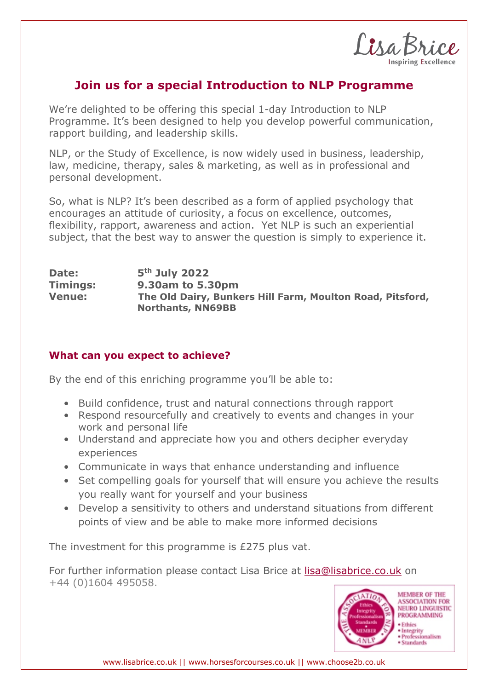Lisa Bri

## **Join us for a special Introduction to NLP Programme**

We're delighted to be offering this special 1-day Introduction to NLP Programme. It's been designed to help you develop powerful communication, rapport building, and leadership skills.

NLP, or the Study of Excellence, is now widely used in business, leadership, law, medicine, therapy, sales & marketing, as well as in professional and personal development.

So, what is NLP? It's been described as a form of applied psychology that encourages an attitude of curiosity, a focus on excellence, outcomes, flexibility, rapport, awareness and action. Yet NLP is such an experiential subject, that the best way to answer the question is simply to experience it.

| Date:         | $5th$ July 2022                                                                       |
|---------------|---------------------------------------------------------------------------------------|
| Timings:      | 9.30am to 5.30pm                                                                      |
| <b>Venue:</b> | The Old Dairy, Bunkers Hill Farm, Moulton Road, Pitsford,<br><b>Northants, NN69BB</b> |

## **What can you expect to achieve?**

By the end of this enriching programme you'll be able to:

- Build confidence, trust and natural connections through rapport
- Respond resourcefully and creatively to events and changes in your work and personal life
- Understand and appreciate how you and others decipher everyday experiences
- Communicate in ways that enhance understanding and influence
- Set compelling goals for yourself that will ensure you achieve the results you really want for yourself and your business
- Develop a sensitivity to others and understand situations from different points of view and be able to make more informed decisions

The investment for this programme is £275 plus vat.

For further information please contact Lisa Brice at lisa@lisabrice.co.uk on +44 (0)1604 495058.